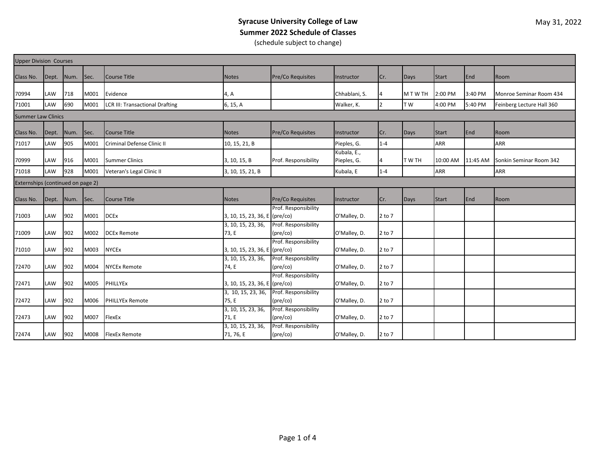## **Syracuse University College of Law Summer 2022 Schedule of Classes** (schedule subject to change)

| <b>Upper Division Courses</b>     |       |      |      |                                        |                                 |                                           |                            |                |             |              |          |                           |
|-----------------------------------|-------|------|------|----------------------------------------|---------------------------------|-------------------------------------------|----------------------------|----------------|-------------|--------------|----------|---------------------------|
| Class No.                         | Dept. | Num. | Sec. | Course Title                           | <b>Notes</b>                    | <b>Pre/Co Requisites</b>                  | Instructor                 | Cr.            | Days        | Start        | End      | Room                      |
| 70994                             | LAW   | 718  | M001 | Evidence                               | 4, A                            |                                           | Chhablani, S.              |                | M T W TH    | 2:00 PM      | 3:40 PM  | Monroe Seminar Room 434   |
| 71001                             | LAW   | 690  | M001 | <b>LCR III: Transactional Drafting</b> | 6, 15, A                        |                                           | Walker, K.                 | $\overline{2}$ | T W         | 4:00 PM      | 5:40 PM  | Feinberg Lecture Hall 360 |
| <b>Summer Law Clinics</b>         |       |      |      |                                        |                                 |                                           |                            |                |             |              |          |                           |
| Class No.                         | Dept. | Num. | Sec. | Course Title                           | <b>Notes</b>                    | <b>Pre/Co Requisites</b>                  | Instructor                 | Cr.            | <b>Days</b> | <b>Start</b> | End      | Room                      |
| 71017                             | LAW   | 905  | M001 | Criminal Defense Clinic II             | 10, 15, 21, B                   |                                           | Pieples, G.                | $1 - 4$        |             | <b>ARR</b>   |          | <b>ARR</b>                |
| 70999                             | LAW   | 916  | M001 | <b>Summer Clinics</b>                  | 3, 10, 15, B                    | Prof. Responsibility                      | Kubala, E.,<br>Pieples, G. | 4              | T W TH      | 10:00 AM     | 11:45 AM | Sonkin Seminar Room 342   |
| 71018                             | LAW   | 928  | M001 | Veteran's Legal Clinic II              | 3, 10, 15, 21, B                |                                           | Kubala, E                  | $1 - 4$        |             | ARR          |          | <b>ARR</b>                |
| Externships (continued on page 2) |       |      |      |                                        |                                 |                                           |                            |                |             |              |          |                           |
| Class No.                         | Dept. | Num. | Sec. | Course Title                           | <b>Notes</b>                    | Pre/Co Requisites                         | Instructor                 | Cr.            | Days        | <b>Start</b> | End      | Room                      |
| 71003                             | LAW   | 902  | M001 | <b>DCEx</b>                            | 3, 10, 15, 23, 36, E (pre/co)   | Prof. Responsibility                      | O'Malley, D.               | $2$ to $7$     |             |              |          |                           |
| 71009                             | LAW   | 902  | M002 | <b>DCEx Remote</b>                     | 3, 10, 15, 23, 36,<br>73. E     | Prof. Responsibility<br>$(\text{pre/co})$ | O'Malley, D.               | $2$ to $7$     |             |              |          |                           |
| 71010                             | LAW   | 902  | M003 | <b>NYCEx</b>                           | 3, 10, 15, 23, 36, E (pre/co)   | Prof. Responsibility                      | O'Malley, D.               | $2$ to $7$     |             |              |          |                           |
| 72470                             | LAW   | 902  | M004 | <b>NYCEx Remote</b>                    | 3, 10, 15, 23, 36,<br>74, E     | Prof. Responsibility<br>$(\text{pre/co})$ | O'Malley, D.               | $2$ to $7$     |             |              |          |                           |
| 72471                             | LAW   | 902  | M005 | PHILLYEx                               | 3, 10, 15, 23, 36, E (pre/co)   | Prof. Responsibility                      | O'Malley, D.               | $2$ to $7$     |             |              |          |                           |
| 72472                             | LAW   | 902  | M006 | <b>PHILLYEx Remote</b>                 | 3, 10, 15, 23, 36,<br>75. E     | Prof. Responsibility<br>(pre/co)          | O'Malley, D.               | $2$ to $7$     |             |              |          |                           |
| 72473                             | LAW   | 902  | M007 | FlexEx                                 | 3, 10, 15, 23, 36,<br>71.E      | Prof. Responsibility<br>$(\text{pre/co})$ | O'Malley, D.               | $2$ to $7$     |             |              |          |                           |
| 72474                             | LAW   | 902  | M008 | <b>FlexEx Remote</b>                   | 3, 10, 15, 23, 36,<br>71, 76, E | Prof. Responsibility<br>$(\text{pre/co})$ | O'Malley, D.               | $2$ to $7$     |             |              |          |                           |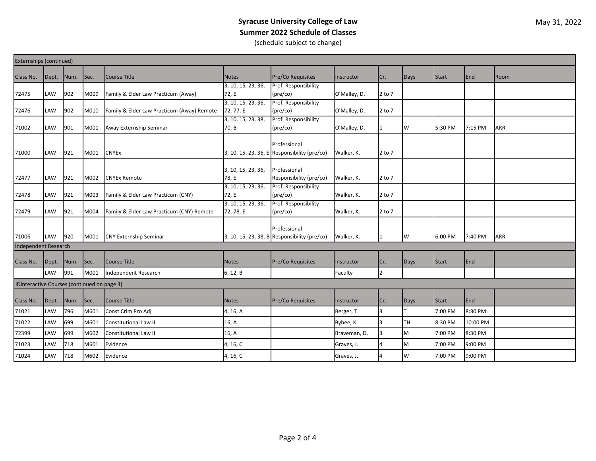## **Syracuse University College of Law Summer 2022 Schedule of Classes** (schedule subject to change)

| Externships (continued)                     |            |      |      |                                            |                                                       |                                                              |              |              |           |              |          |            |
|---------------------------------------------|------------|------|------|--------------------------------------------|-------------------------------------------------------|--------------------------------------------------------------|--------------|--------------|-----------|--------------|----------|------------|
| Class No.                                   | Dept.      | Num. | Sec. | Course Title                               | <b>Notes</b>                                          | Pre/Co Requisites                                            | Instructor   | Cr.          | Days      | <b>Start</b> | End      | Room       |
| 72475                                       | <b>LAW</b> | 902  | M009 | Family & Elder Law Practicum (Away)        | 3, 10, 15, 23, 36,<br>72, E                           | Prof. Responsibility<br>$(\text{pre/co})$                    | O'Malley, D. | 2 to 7       |           |              |          |            |
| 72476                                       | <b>LAW</b> | 902  | M010 | Family & Elder Law Practicum (Away) Remote | 3, 10, 15, 23, 36,<br>72, 77, E<br>3, 10, 15, 23, 38, | Prof. Responsibility<br>(pre/co)<br>Prof. Responsibility     | O'Malley, D. | 2 to 7       |           |              |          |            |
| 71002                                       | LAW        | 901  | M001 | Away Externship Seminar                    | 70, B                                                 | (pre/co)                                                     | O'Malley, D. | 1            | W         | 5:30 PM      | 7:15 PM  | <b>ARR</b> |
| 71000                                       | LAW        | 921  | M001 | <b>CNYEx</b>                               |                                                       | Professional<br>3, 10, 15, 23, 36, E Responsibility (pre/co) | Walker, K.   | $2$ to $7$   |           |              |          |            |
| 72477                                       | <b>LAW</b> | 921  | M002 | <b>CNYEx Remote</b>                        | 3, 10, 15, 23, 36,<br>78, E                           | Professional<br>Responsibility (pre/co)                      | Walker, K.   | $2$ to $7$   |           |              |          |            |
| 72478                                       | <b>LAW</b> | 921  | M003 | Family & Elder Law Practicum (CNY)         | 3, 10, 15, 23, 36,<br>72, E                           | Prof. Responsibility<br>(pre/co)                             | Walker, K.   | $2$ to $7$   |           |              |          |            |
| 72479                                       | <b>LAW</b> | 921  | M004 | Family & Elder Law Practicum (CNY) Remote  | 3, 10, 15, 23, 36,<br>72, 78, E                       | Prof. Responsibility<br>$(\text{pre/co})$                    | Walker, K.   | $2$ to $7$   |           |              |          |            |
| 71006                                       | <b>LAW</b> | 920  | M001 | <b>CNY Externship Seminar</b>              |                                                       | Professional<br>3, 10, 15, 23, 38, B Responsibility (pre/co) | Walker, K.   | 11           | W         | 6:00 PM      | 7:40 PM  | <b>ARR</b> |
| Independent Research                        |            |      |      |                                            |                                                       |                                                              |              |              |           |              |          |            |
| Class No.                                   | Dept.      | Num. | Sec. | Course Title                               | <b>Notes</b>                                          | Pre/Co Requisites                                            | Instructor   | Cr.          | Days      | <b>Start</b> | End      |            |
|                                             | LAW        | 991  | M001 | Independent Research                       | 6, 12, B                                              |                                                              | Faculty      | <sup>2</sup> |           |              |          |            |
| JDinteractive Courses (continued on page 3) |            |      |      |                                            |                                                       |                                                              |              |              |           |              |          |            |
| Class No.                                   | Dept.      | Num. | Sec. | Course Title                               | <b>Notes</b>                                          | Pre/Co Requisites                                            | Instructor   | Cr.          | Days      | <b>Start</b> | End      |            |
| 71021                                       | LAW        | 796  | M601 | Const Crim Pro Adj                         | 4, 16, A                                              |                                                              | Berger, T.   | l3           |           | 7:00 PM      | 8:30 PM  |            |
| 71022                                       | LAW        | 699  | M601 | Constitutional Law II                      | 16, A                                                 |                                                              | Bybee, K.    | l3           | <b>TH</b> | 8:30 PM      | 10:00 PM |            |
| 72399                                       | LAW        | 699  | M602 | Constitutional Law II                      | 16, A                                                 |                                                              | Braveman, D. | l3           | M         | 7:00 PM      | 8:30 PM  |            |
| 71023                                       | LAW        | 718  | M601 | Evidence                                   | 4, 16, C                                              |                                                              | Graves, J.   | 4            | M         | 7:00 PM      | 9:00 PM  |            |
| 71024                                       | LAW        | 718  | M602 | Evidence                                   | 4, 16, C                                              |                                                              | Graves, J.   |              | W         | 7:00 PM      | 9:00 PM  |            |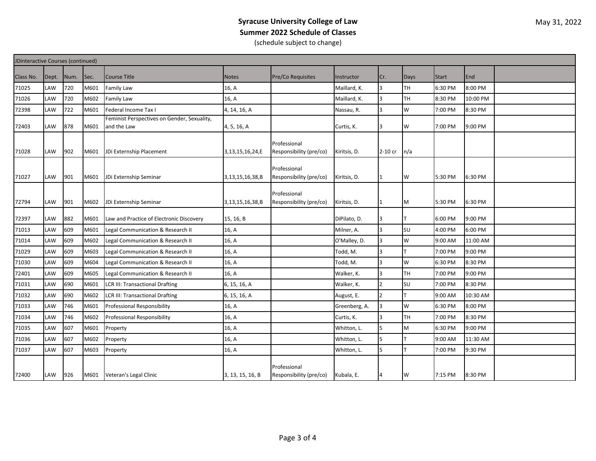## **Syracuse University College of Law Summer 2022 Schedule of Classes** (schedule subject to change)

| JDinteractive Courses (continued) |            |      |      |                                             |                  |                                         |               |         |           |              |          |  |
|-----------------------------------|------------|------|------|---------------------------------------------|------------------|-----------------------------------------|---------------|---------|-----------|--------------|----------|--|
| Class No.                         | Dept.      | Num. | Sec. | Course Title                                | <b>Notes</b>     | <b>Pre/Co Requisites</b>                | Instructor    | Cr.     | Days      | <b>Start</b> | End      |  |
| 71025                             | LAW        | 720  | M601 | Family Law                                  | 16, A            |                                         | Maillard, K.  | 3       | TH        | 6:30 PM      | 8:00 PM  |  |
| 71026                             | LAW        | 720  | M602 | Family Law                                  | 16, A            |                                         | Maillard, K.  | ς       | <b>TH</b> | 8:30 PM      | 10:00 PM |  |
| 72398                             | LAW        | 722  | M601 | Federal Income Tax I                        | 4, 14, 16, A     |                                         | Nassau, R.    | 3       | W         | 7:00 PM      | 8:30 PM  |  |
|                                   |            |      |      | Feminist Perspectives on Gender, Sexuality, |                  |                                         |               |         |           |              |          |  |
| 72403                             | LAW        | 878  | M601 | and the Law                                 | 4, 5, 16, A      |                                         | Curtis, K.    | 3       | W         | 7:00 PM      | 9:00 PM  |  |
| 71028                             | <b>LAW</b> | 902  | M601 | JDi Externship Placement                    | 3,13,15,16,24,E  | Professional<br>Responsibility (pre/co) | Kiritsis, D.  | 2-10 cr | n/a       |              |          |  |
| 71027                             | <b>LAW</b> | 901  | M601 | JDi Externship Seminar                      | 3,13,15,16,38,B  | Professional<br>Responsibility (pre/co) | Kiritsis, D.  |         | W         | 5:30 PM      | 6:30 PM  |  |
| 72794                             | LAW        | 901  | M602 | JDi Externship Seminar                      | 3,13,15,16,38,B  | Professional<br>Responsibility (pre/co) | Kiritsis, D.  |         | M         | 5:30 PM      | 6:30 PM  |  |
| 72397                             | <b>LAW</b> | 882  | M601 | Law and Practice of Electronic Discovery    | 15, 16, B        |                                         | DiPilato, D.  |         |           | 6:00 PM      | 9:00 PM  |  |
| 71013                             | LAW        | 609  | M601 | Legal Communication & Research II           | 16, A            |                                         | Milner, A.    |         | SU        | 4:00 PM      | 6:00 PM  |  |
| 71014                             | LAW        | 609  | M602 | Legal Communication & Research II           | 16, A            |                                         | O'Malley, D.  | 3       | W         | 9:00 AM      | 11:00 AM |  |
| 71029                             | LAW        | 609  | M603 | Legal Communication & Research II           | 16, A            |                                         | Todd, M.      |         |           | 7:00 PM      | 9:00 PM  |  |
| 71030                             | LAW        | 609  | M604 | Legal Communication & Research II           | 16, A            |                                         | Todd, M.      | 3       | W         | 6:30 PM      | 8:30 PM  |  |
| 72401                             | LAW        | 609  | M605 | Legal Communication & Research II           | 16, A            |                                         | Walker, K.    | 3       | TH        | 7:00 PM      | 9:00 PM  |  |
| 71031                             | LAW        | 690  | M601 | <b>LCR III: Transactional Drafting</b>      | 6, 15, 16, A     |                                         | Walker, K.    |         | SU        | 7:00 PM      | 8:30 PM  |  |
| 71032                             | LAW        | 690  | M602 | <b>LCR III: Transactional Drafting</b>      | 6, 15, 16, A     |                                         | August, E.    |         |           | 9:00 AM      | 10:30 AM |  |
| 71033                             | LAW        | 746  | M601 | Professional Responsibility                 | 16, A            |                                         | Greenberg, A. |         | W         | 6:30 PM      | 8:00 PM  |  |
| 71034                             | <b>LAW</b> | 746  | M602 | Professional Responsibility                 | 16, A            |                                         | Curtis, K.    | 3       | TН        | 7:00 PM      | 8:30 PM  |  |
| 71035                             | <b>LAW</b> | 607  | M601 | Property                                    | 16, A            |                                         | Whitton, L.   | 5       | M         | 6:30 PM      | 9:00 PM  |  |
| 71036                             | LAW        | 607  | M602 | Property                                    | 16, A            |                                         | Whitton, L.   |         |           | 9:00 AM      | 11:30 AM |  |
| 71037                             | LAW        | 607  | M603 | Property                                    | 16, A            |                                         | Whitton, L.   | 5       |           | 7:00 PM      | 9:30 PM  |  |
| 72400                             | LAW        | 926  | M601 | Veteran's Legal Clinic                      | 3, 13, 15, 16, B | Professional<br>Responsibility (pre/co) | Kubala, E.    |         | W         | 7:15 PM      | 8:30 PM  |  |